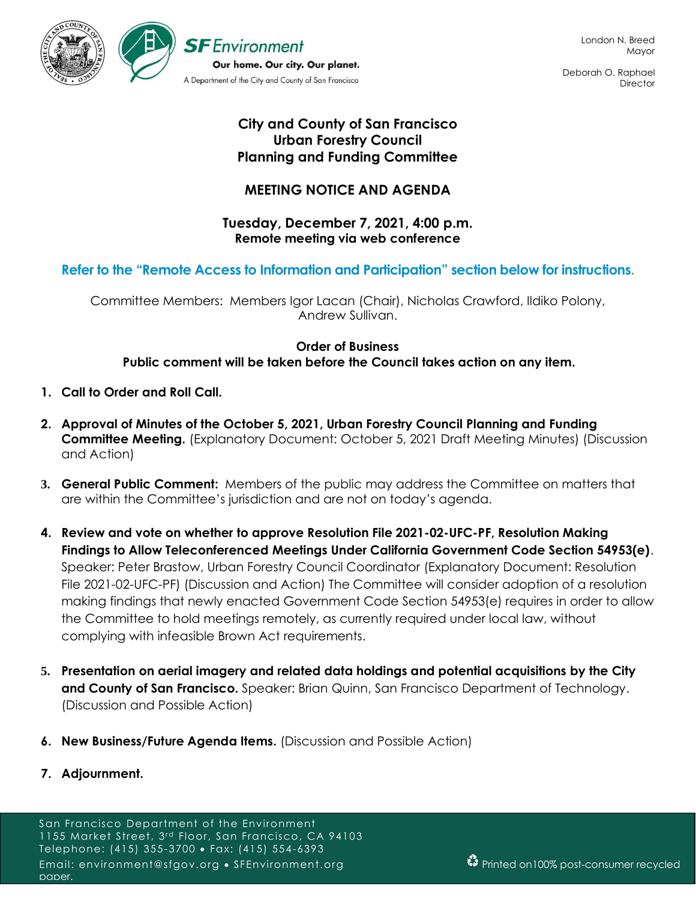

Deborah O. Raphael **Director** 

## **City and County of San Francisco Urban Forestry Council Planning and Funding Committee**

# **MEETING NOTICE AND AGENDA**

### **Tuesday, December 7, 2021, 4:00 p.m. Remote meeting via web conference**

## **Refer to the "Remote Access to Information and Participation" section below for instructions.**

Committee Members: Members Igor Lacan (Chair), Nicholas Crawford, Ildiko Polony, Andrew Sullivan.

#### **Order of Business Public comment will be taken before the Council takes action on any item.**

- **1. Call to Order and Roll Call.**
- **2. Approval of Minutes of the October 5, 2021, Urban Forestry Council Planning and Funding Committee Meeting.** (Explanatory Document: October 5, 2021 Draft Meeting Minutes) (Discussion and Action)
- **3. General Public Comment:** Members of the public may address the Committee on matters that are within the Committee's jurisdiction and are not on today's agenda.
- **4. Review and vote on whether to approve Resolution File 2021-02-UFC-PF, Resolution Making Findings to Allow Teleconferenced Meetings Under California Government Code Section 54953(e)**. Speaker: Peter Brastow, Urban Forestry Council Coordinator (Explanatory Document: Resolution File 2021-02-UFC-PF) (Discussion and Action) The Committee will consider adoption of a resolution making findings that newly enacted Government Code Section 54953(e) requires in order to allow the Committee to hold meetings remotely, as currently required under local law, without complying with infeasible Brown Act requirements.
- **5. Presentation on aerial imagery and related data holdings and potential acquisitions by the City and County of San Francisco.** Speaker: Brian Quinn, San Francisco Department of Technology. (Discussion and Possible Action)
- **6. New Business/Future Agenda Items.** (Discussion and Possible Action)
- **7. Adjournment.**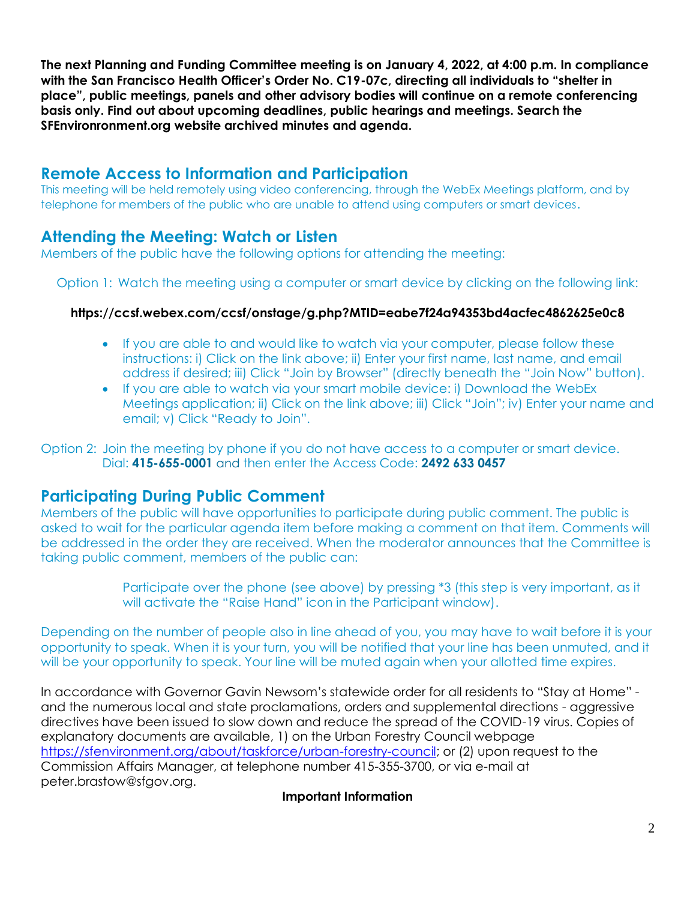**The next Planning and Funding Committee meeting is on January 4, 2022, at 4:00 p.m. In compliance with the San Francisco Health Officer's Order No. C19-07c, directing all individuals to "shelter in place", public meetings, panels and other advisory bodies will continue on a remote conferencing basis only. Find out about upcoming deadlines, public hearings and meetings. Search the SFEnvironronment.org website archived minutes and agenda.**

# **Remote Access to Information and Participation**

This meeting will be held remotely using video conferencing, through the WebEx Meetings platform, and by telephone for members of the public who are unable to attend using computers or smart devices.

# **Attending the Meeting: Watch or Listen**

Members of the public have the following options for attending the meeting:

#### Option 1: Watch the meeting using a computer or smart device by clicking on the following link:

#### **https://ccsf.webex.com/ccsf/onstage/g.php?MTID=eabe7f24a94353bd4acfec4862625e0c8**

- If you are able to and would like to watch via your computer, please follow these instructions: i) Click on the link above; ii) Enter your first name, last name, and email address if desired; iii) Click "Join by Browser" (directly beneath the "Join Now" button).
- If you are able to watch via your smart mobile device: i) Download the WebEx Meetings application; ii) Click on the link above; iii) Click "Join"; iv) Enter your name and email; v) Click "Ready to Join".

Option 2: Join the meeting by phone if you do not have access to a computer or smart device. Dial: **415-655-0001** and then enter the Access Code: **2492 633 0457**

## **Participating During Public Comment**

Members of the public will have opportunities to participate during public comment. The public is asked to wait for the particular agenda item before making a comment on that item. Comments will be addressed in the order they are received. When the moderator announces that the Committee is taking public comment, members of the public can:

> Participate over the phone (see above) by pressing \*3 (this step is very important, as it will activate the "Raise Hand" icon in the Participant window).

Depending on the number of people also in line ahead of you, you may have to wait before it is your opportunity to speak. When it is your turn, you will be notified that your line has been unmuted, and it will be your opportunity to speak. Your line will be muted again when your allotted time expires.

In accordance with Governor Gavin Newsom's statewide order for all residents to "Stay at Home" and the numerous local and state proclamations, orders and supplemental directions - aggressive directives have been issued to slow down and reduce the spread of the COVID-19 virus. Copies of explanatory documents are available, 1) on the Urban Forestry Council webpage [https://sfenvironment.org/about/taskforce/urban-forestry-council;](https://sfenvironment.org/about/taskforce/urban-forestry-council) or (2) upon request to the Commission Affairs Manager, at telephone number 415-355-3700, or via e-mail at peter.brastow@sfgov.org.

#### **Important Information**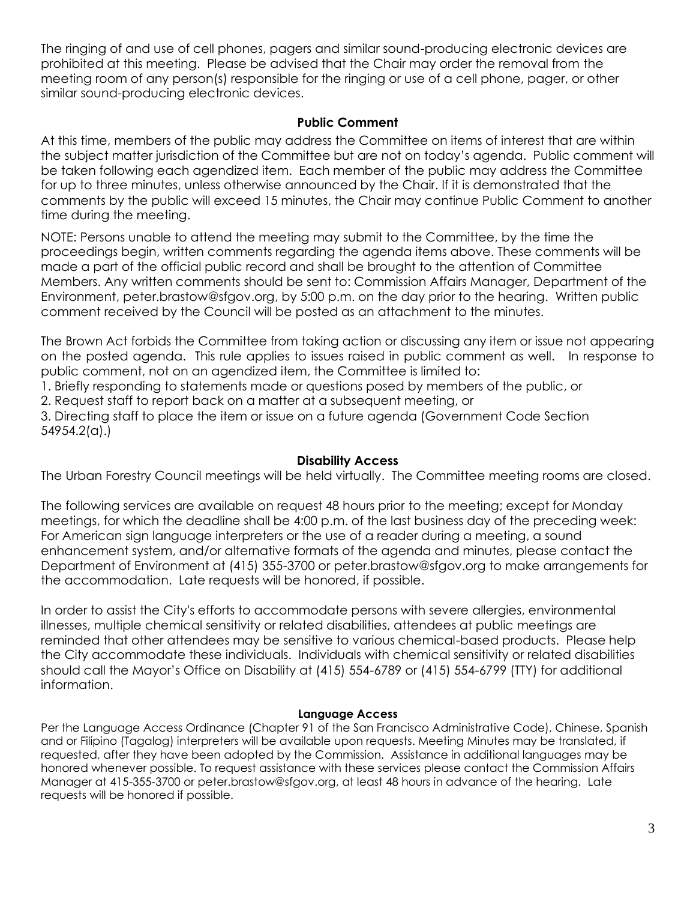The ringing of and use of cell phones, pagers and similar sound-producing electronic devices are prohibited at this meeting. Please be advised that the Chair may order the removal from the meeting room of any person(s) responsible for the ringing or use of a cell phone, pager, or other similar sound-producing electronic devices.

### **Public Comment**

At this time, members of the public may address the Committee on items of interest that are within the subject matter jurisdiction of the Committee but are not on today's agenda. Public comment will be taken following each agendized item. Each member of the public may address the Committee for up to three minutes, unless otherwise announced by the Chair. If it is demonstrated that the comments by the public will exceed 15 minutes, the Chair may continue Public Comment to another time during the meeting.

NOTE: Persons unable to attend the meeting may submit to the Committee, by the time the proceedings begin, written comments regarding the agenda items above. These comments will be made a part of the official public record and shall be brought to the attention of Committee Members. Any written comments should be sent to: Commission Affairs Manager, Department of the Environment, peter.brastow@sfgov.org, by 5:00 p.m. on the day prior to the hearing. Written public comment received by the Council will be posted as an attachment to the minutes.

The Brown Act forbids the Committee from taking action or discussing any item or issue not appearing on the posted agenda. This rule applies to issues raised in public comment as well. In response to public comment, not on an agendized item, the Committee is limited to:

1. Briefly responding to statements made or questions posed by members of the public, or

2. Request staff to report back on a matter at a subsequent meeting, or

3. Directing staff to place the item or issue on a future agenda (Government Code Section 54954.2(a).)

### **Disability Access**

The Urban Forestry Council meetings will be held virtually. The Committee meeting rooms are closed.

The following services are available on request 48 hours prior to the meeting; except for Monday meetings, for which the deadline shall be 4:00 p.m. of the last business day of the preceding week: For American sign language interpreters or the use of a reader during a meeting, a sound enhancement system, and/or alternative formats of the agenda and minutes, please contact the Department of Environment at (415) 355-3700 or peter.brastow@sfgov.org to make arrangements for the accommodation. Late requests will be honored, if possible.

In order to assist the City's efforts to accommodate persons with severe allergies, environmental illnesses, multiple chemical sensitivity or related disabilities, attendees at public meetings are reminded that other attendees may be sensitive to various chemical-based products. Please help the City accommodate these individuals. Individuals with chemical sensitivity or related disabilities should call the Mayor's Office on Disability at (415) 554-6789 or (415) 554-6799 (TTY) for additional information.

#### **Language Access**

Per the Language Access Ordinance (Chapter 91 of the San Francisco Administrative Code), Chinese, Spanish and or Filipino (Tagalog) interpreters will be available upon requests. Meeting Minutes may be translated, if requested, after they have been adopted by the Commission. Assistance in additional languages may be honored whenever possible. To request assistance with these services please contact the Commission Affairs Manager at 415-355-3700 or peter.brastow@sfgov.org, at least 48 hours in advance of the hearing. Late requests will be honored if possible.